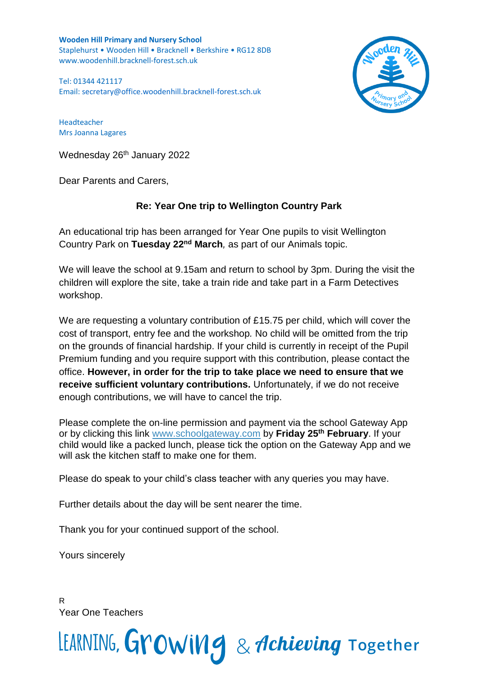**Wooden Hill Primary and Nursery School** Staplehurst • Wooden Hill • Bracknell • Berkshire • RG12 8DB www.woodenhill.bracknell-forest.sch.uk

Tel: 01344 421117 Email: [secretary@office.woodenhill.bracknell-forest.sch.uk](mailto:secretary@office.woodenhill.bracknell-forest.sch.uk)



Headteacher Mrs Joanna Lagares

Wednesday 26<sup>th</sup> January 2022

Dear Parents and Carers,

## **Re: Year One trip to Wellington Country Park**

An educational trip has been arranged for Year One pupils to visit Wellington Country Park on **Tuesday 22nd March***,* as part of our Animals topic.

We will leave the school at 9.15am and return to school by 3pm. During the visit the children will explore the site, take a train ride and take part in a Farm Detectives workshop.

We are requesting a voluntary contribution of £15.75 per child, which will cover the cost of transport, entry fee and the workshop*.* No child will be omitted from the trip on the grounds of financial hardship. If your child is currently in receipt of the Pupil Premium funding and you require support with this contribution, please contact the office. **However, in order for the trip to take place we need to ensure that we receive sufficient voluntary contributions.** Unfortunately, if we do not receive enough contributions, we will have to cancel the trip.

Please complete the on-line permission and payment via the school Gateway App or by clicking this link [www.schoolgateway.com](http://www.schoolgateway.com/) by **Friday 25th February**. If your child would like a packed lunch, please tick the option on the Gateway App and we will ask the kitchen staff to make one for them.

Please do speak to your child's class teacher with any queries you may have.

Further details about the day will be sent nearer the time.

Thank you for your continued support of the school.

Yours sincerely

R Year One Teachers